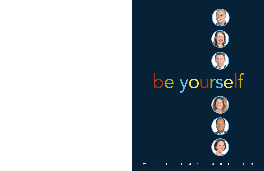**W I L L I A M S M U L L E N**







# be yourself





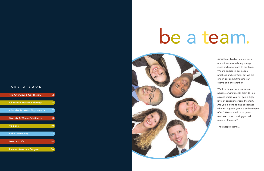At Williams Mullen, we embrace our uniqueness to bring energy, ideas and experience to our team. We are diverse in our people, practices and clientele, but we are one in our commitment to our clients and one another.

Want to be part of a nurturing, positive environment? Want to join a place where you will gain a high level of experience from the start? Are you looking to find colleagues who will support you in a collaborative effort? Would you like to go to work each day knowing you will make a difference?

Then keep reading ...

# **T A K E A L O O K**

| <b>Firm Overview &amp; Our History</b>        |    |
|-----------------------------------------------|----|
| <b>Full-service Practice Offerings</b>        | 4  |
| <b>Industries &amp; Lateral Opportunities</b> |    |
| <b>Diversity &amp; Women's Initiative</b>     | 8  |
| <b>Pro Bono</b>                               | 10 |
| In the Community                              | 12 |
| <b>Associate Life</b>                         | 14 |
| <b>Summer Associate Program</b>               | 16 |

# be a team.

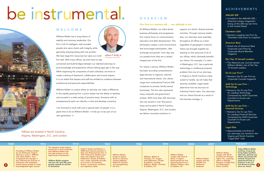# **W E L C O M E**

Williams Mullen has a long history of stability and visionary leadership. Our firm is full of intelligent, well-rounded people who serve clients with integrity while genuinely enjoying being with one another. We have large-firm resources but value our small

firm feel. With many offices, we work hard to stay

connected and build bridges between our talented attorneys to pool knowledge and experience without letting egos get in the way. While respecting the uniqueness of each individual, we strive to create a setting of teamwork, collaboration and mutual respect. It is our belief that lawyers and staff are entitled to a balance between professional and personal responsibilities.

Williams Mullen is a place where an attorney can make a difference. In this rapidly growing firm, a junior lawyer has the ability to develop and succeed in a wide variety of practice areas. Someone with an entrepreneurial spirit can identify a niche and develop a practice.

support our clients' diverse business activities. Through visionary leadership, our attorneys work equitably throughout all offices as a team regardless of geographic locations. Teams are brought together by drawing on the resources of all of our offices, which ultimately benefits our clients. For example, if a client in Washington, D.C. has a particular technology or intellectual property problem that one of our attorneys in Virginia or North Carolina is best suited to handle, we will make that attorney available. Legal needs determine how we structure an individual client's team. Our attorneys and our clients flourish as a result of this business strategy.  $\bullet$ 

I am honored to work with such a special team of people. It is a great time to be at Williams Mullen. I invite you to be part of our next generation.

At Williams Mullen, our client-driven business philosophy and progressive firm culture focus on communication, education and skills development. This philosophy creates a work environment that encourages participation, idea exchange and growth. From day one, our people know they are a valued, integral part of the firm.

For nearly a century, Williams Mullen has been providing comprehensive legal services to regional, national and international clients. Our clients range from multinational Fortune 500 companies to private, family-owned businesses. The firm also represents many nonprofit and government entities. With more than 325 attorneys who are versed in over 30 practice areas and located in North Carolina, Virginia, Washington, D.C. and London, we deliver innovative solutions to

| 1909 | 1913                                                                                                                                                                                                                                                                                      | 1919                                                                                                                                                                                                                                                                      | 1961                                                                                                                                                                                                                                                                                                                                         | 1986                                                                                                                                            | 1999                                                                                                                                                    | 2004                                                                                                                                                              | 2007                                                                               | <b>PRESENT</b>                                                                                                                                                                                             |                                                                                                                                                                                                                                                                |
|------|-------------------------------------------------------------------------------------------------------------------------------------------------------------------------------------------------------------------------------------------------------------------------------------------|---------------------------------------------------------------------------------------------------------------------------------------------------------------------------------------------------------------------------------------------------------------------------|----------------------------------------------------------------------------------------------------------------------------------------------------------------------------------------------------------------------------------------------------------------------------------------------------------------------------------------------|-------------------------------------------------------------------------------------------------------------------------------------------------|---------------------------------------------------------------------------------------------------------------------------------------------------------|-------------------------------------------------------------------------------------------------------------------------------------------------------------------|------------------------------------------------------------------------------------|------------------------------------------------------------------------------------------------------------------------------------------------------------------------------------------------------------|----------------------------------------------------------------------------------------------------------------------------------------------------------------------------------------------------------------------------------------------------------------|
| 2    | <b>Founding of Williams Mullen</b><br>by two Richmond, Virginia<br>attorneys, Lewis C. Williams<br>and James Mullen. They<br>recognized that changes in<br>laws affecting the finances of<br>businesses and individuals<br>would require people to retain<br>knowledgeable legal counsel. | The adoption of the federal<br>income tax in 1913 confirmed<br>that Williams Mullen had<br>the right instincts on the<br>legal needs of businesses.<br><b>Williams Mullen prospers</b><br>and over the next fifty years<br>greatly expands its services<br>to businesses. | Virgil R. Goode and Morton L.<br>Wallerstein become partners in<br>their own Richmond law firm. In<br>1947 Howard W. Dobbins joins<br>them and together they turn<br><b>Wallerstein, Goode &amp; Dobbins</b><br>into a major statewide provider<br>of services in the banking,<br>finance, commercial, securities,<br>and regulatory fields. | <b>Williams Mullen</b><br>brings on board<br>Stuart G. Christian,<br>creating Williams,<br>Mullen & Christian<br>and strengthening<br>the firm. | Williams, Mullen &<br><b>Christian, P.C. merges</b><br>with Wallerstein, Goode<br>& Dobbins, creating<br>Williams, Mullen, Christian<br>& Dobbins, P.C. | <b>Williams Mullen</b><br>merges with Clark &<br>Stant, a Virginia<br>Beach-based law firm,<br>becoming the firm of<br>Williams, Mullen, Clark<br>& Dobbins, P.C. | <b>Williams Mullen</b><br>merges with the<br>Norfolk firm<br>Hofheimer<br>Nusbaum. | <b>Williams Mullen</b><br>merges with North<br><b>Carolina firm Maupin</b><br>Taylor, P.A., acquiring<br>offices in Raleigh.<br><b>Research Triangle Park</b><br>and Wilmington,<br><b>North Carolina.</b> | <b>Today, Williams Mullen</b><br>continues to grow by<br>hiring highly qualified<br>attorneys, opening new<br>offices and joining with<br>similarly focused and<br>experienced firms in<br>locations in the U.S.<br>and abroad to better<br>serve our clients. |

• Named a *Go-To Law Firm* for *Leading Technology Companies* by ALM Corporate Counsel's In-house Law **Departments** 

• Named a *Go-To Law Firm* for *Leading Financial Services Companies* by ALM Corporate Counsel's In-house Law **Departments** 

# **2007 PRESENT**

Offices are located in North Carolina, Virginia, Washington, D.C. and London.

# **O V E R V I E W**

# **Our firm is a century old … our attitude is not.**

# **A C H I E V E M E N T S**

# **AMLAW 200**

• Included in the AMLAW 200 – *American Lawyer* magazine's listing of the 200 top law firms in the United States

# **Chambers USA**

• Named a Leading Law Firm by *Chambers USA* since its inception

# **America's Best**

• Voted one of America's Best Corporate Law Firms by *Corporate Board Member* magazine

### **NLJ Top 10 Growth Leaders**

• The *National Law Journal* named Williams Mullen one of the Top 10 Growth Leaders

### Go-To Law Firm™

• Named a *Go-To Law Firm* by *Corporate Counsel* magazine

## **ALM Go-To Law Firm – Technology**

## **ALM Go-To Law Firm – Financial Services**

## **Legal Elite**

• Approximately one-third of our attorneys are named to the Virginia and North Carolina "Legal Elite" Lists



**Julious P. Smith Jr.** Chairman and CEO

# be instrumental.

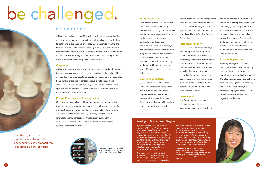

*"I joined Williams Mullen soon after earning MBA and JD degrees from the University of Richmond. I can say this firm is one of the most supportive environments imaginable. I became a partner while practicing under a flexible work arrangement that has allowed me to be an involved mother of two young children, a wife, and a business partner with my husband.* 

*My career has flourished partly because of wonderful colleagues. I was assigned to a partner mentor who taught me about business law*

*and outstanding client service. When I began working with a top client in the aviation industry, I quickly identified my desired niche. Today, due to my specialization, I receive many unsolicited calls for advice from existing and potential aviation clients, and from attorneys seeking to help their clients with aviation matters."*

**Judy Lin Bristow** is a partner in the firm's Corporate Section and chair of our Aviation Practice. Her practice focuses on mergers and acquisitions, private securities offerings and business aviation matters.

# *Soaring to Unchartered Heights*

# **Financial Services**

Attorneys at Williams Mullen counsel clients on a variety of financing transactions, including commercial and real estate loans, asset securitizations, workouts, debt restructures, bankruptcies and regulatory

compliance matters. Our attorneys also represent financial institutions in mergers and acquisitions, executive compensation, creation of new financial products, Internet banking, lender-related litigation, securities law, UCC, collections and creditors' rights cases.

# **Government Relations**

Our Government Relations team represents businesses, associations and individuals in a wide range of government-related actions at the federal, state and local levels. Extensive work is done with legislative bodies, administrative/executive

branch agencies and with independent entities. Legislative activities involve both actively counseling and advocating for clients on issues before the Virginia and North Carolina General

Assemblies.

## **Intellectual Property**

Our intellectual property attorneys provide legal counsel on patents, trademarks, copyrights, licensing, technology transfers and trade secrets. Our intellectual property litigation team represents clients in disputes involving licensing, intellectual property infringement claims, trade secret, antitrust, unfair competition claims and matters before the U.S. Patent and Trademark Office and in all other U.S. courts.

# **International**

Our firm's international team represents clients' interests in commercial, trade, investment and

# **P R A C T I C E S**

Williams Mullen boasts over 30 practices with one goal: meeting the needs while exceeding the expectations of our clients. The attention to detail and experience we offer allow us to assemble versatile and formidable teams with attorneys holding impressive qualifications in their respective areas of law. Each team is dedicated to a unified vision of personal accountability and client satisfaction. Be challenged and achieve success within your personal practice area.

# **Corporate**

Williams Mullen attorneys advise clients on sophisticated and complex business transactions, including mergers and acquisitions, dispositions of subsidiaries or other assets, corporate restructurings and recapitalizations, tender offers, proxy contests, going-private transactions, management and leveraged buyouts, holding-company formations, spin-offs and liquidations. We also have extensive experience in all major areas of corporate finance.

# **Energy, Environmental & Infrastructure**

Our attorneys assist clients with energy and environmental facility procurement, energy commodity supply and delivery, environmental markets trading, wetlands remediation, brownfield redevelopment, emissions retrofits, carbon offsets, efficiency adaptation and renewable-energy transactions. We represent public utilities and end-users before federal and state courts and regulatory agencies across the country.

# be challenged.

Emerging practice areas include health care informatics, a blend of clinical and business intelligence.

Our attorneys have the expertise and skills to work independently and collaboratively to accomplish a shared vision.

regulatory matters, both in the U.S. and abroad. We regularly assist clients in moving goods, people, services and information across borders, and represent them in administrative proceedings under U.S. and foreign trade laws. Our attorneys also help clients navigate the intricacies of trade and customs compliance and immigration issues.

# **Labor & Employment**

Advising employers on human resources issues to minimize liability and comply with applicable laws is one of our focuses at Williams Mullen. Our attorneys represent clients before administrative agencies, arbitrators, and in court. Additionally, we represent employers facing threats of unionization and those with organized workforces.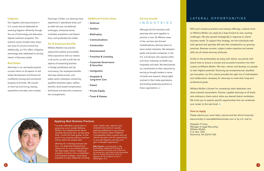**6 7**

*"I've been afforded a good deal of autonomy since I joined Williams Mullen; my entrepreneurial nature certainly flourishes here. At the same time, I could not have gotten to this point in my practice without mentors whose doors are always open.* 

*Working for a leading business law firm, I've observed firsthand how clients turn to us as trusted advisors. We help shape clients' intellectual property concerns into a comprehensive business strategy. I have been exposed to many industries including*

**Billy Poynter** is an associate in the Technology, Intellectual Property & Entertainment Practice area of the firm. He served as a law clerk to the Honorable Alvin A. Schall of the U.S. Court of Appeals for the Federal Circuit in Washington, D.C.

# Serving Growth: **LATERAL OPPORTUNITIES**

Although the firm functions with attorneys who work together to practice in over 30 different areas of law, we have also formed multidisciplinary attorney teams to serve certain industries. We represent public and private companies, in the U.S. and abroad, who operate within such boon industries as health care, hospitality and retail. We demonstrate our commitment to their industries by serving as thought leaders in terms of trends and research, being highly involved in their trade associations, and holding leadership positions in those organizations.  $\bullet$ 



*retail, health care, telecom and entertainment and am quickly getting established in my primary area of interest, patent litigation. Considerable direct contact with our clients has given me the opportunity to provide litigation services and gain invaluable experience."*

### *Applying Best Business Practices*

# **I N D U S T R I E S**

### **Litigation**

Our litigation attorneys practice in U.S. courts and are dedicated to resolving litigation efficiently through the use of technology and alternative dispute resolution programs. The practice covers virtually every important area of civil and criminal law. Additionally, our firm offers a litigation technology team dedicated to serving clients' e-Discovery needs.

## **Real Estate**

Williams Mullen is known for unwavering client dedication and team-oriented camaraderie. Diverse, capable attorneys at all levels who embrace a client-centric ethos are desired lateral candidates. We invite you to explore specific opportunities that can accelerate your career to the next level.  $\bullet$ 

Attorneys in our real estate practice counsel clients on all aspects of real estate development and finance for multifamily housing and commercial property of all kinds. We counsel on land use and zoning, leasing, acquisitions and sales, and complex

financings. Further, our attorneys have experience in specialized areas such as retail roll-outs, tax-deferred exchanges, enterprise bonds, multistate acquisitions and disposi-

tions, and syndicated tax credits.

# **Tax & Employee Benefits**

Williams Mullen's tax practice assists both publicly and privately held corporations with tax matters in all courts, as well as with the tax aspects of transacting business in foreign jurisdictions and tax controversy. Our employee benefits attorneys advise private- and public-sector employers concerning qualified retirement plans, welfare benefits, stock-based compensation techniques and executive compensation arrangements.

### **Additional Practice Areas**

- **Antitrust**
- **Aviation**
- **Bankruptcy**
- **Communications**
- **Construction**
- **Entertainment**
- **Franchise & Licensing**
- **Corporate Governance & Securities**
- **Immigration**
- **Hospitals & Long-term Care**
- **Patent**
- **Private Equity**
- **Trusts & Estates**

With such numerous practice and industry offerings, a lateral move to Williams Mullen can easily be a leap forward to new, exciting challenges. We plan growth strategically in response to clients' business needs. To support that strategy, we hire individuals with both general and specialty skill sets that complement our growing practices. Business acumen, subject matter expertise and people skills are all valued attorney attributes.

Similar to the partnerships we enjoy with clients, we partner with lateral hires to ensure a smooth and successful transition into their careers at Williams Mullen. We train, mentor and develop our people to their highest potential. Nurturing yet entrepreneurial, steadfast yet innovative, our firm culture provides the right mix of individualism and collaboration necessary for attorneys to meet their long-term professional goals.

# **How to Apply**

Please submit your cover letter, resume and law school transcript electronically to laterals@williamsmullen.com or by U.S. mail to:

Elizabeth P. Fuchs Manager of Legal Recruiting Williams Mullen P. O. Box 1320 Richmond, VA 23218-1320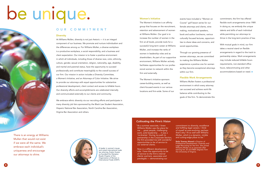

A leader in women's issues and noted international trade law attorney, Evelyn Suarez co-founded the Hampton Roads Chapter of the Organization of Women in International Trade (OWIT).

*"As a summer associate, I knew Williams Mullen was the place for me … great people, challenging work, solid leadership … it was a 'no-brainer.' During my path to partnership in the Corporate Section, the firm provided me with wonderful opportunities to be of service to our external clients.* 

*Now in a different development role, I have the opportunity to be of service to the firm's internal clients: partners, associates and paralegals — demonstrating our*

*commitment to diversity, excellence and fulfilling legal careers. I think of myself as ever-evolving; perhaps that's why I fit so well with Williams Mullen, which is a dynamic, nimble and cutting-edge place to be."* 

**Naila Townes Ahmed** is Director of Professional Development, Diversity and Legal Recruiting for the firm. She joined Williams Mullen as an associate after earning her JD and MBA degrees from the University of Virginia.

# *Cultivating the Firm's Vision*



The Women's Initiative is an affinity group that focuses on the recruitment, retention and advancement of women at Williams Mullen. Our goal is to increase the number of women in the firm at all levels, provide tools for a successful long-term career at Williams Mullen, and increase the ranks of women in leadership roles and as shareholders. As part of our supportive environment, Williams Mullen actively facilitates opportunities for our professional women to network within the firm and externally.

The Women's Initiative sponsors career-building events, as well as client-focused events in our various locations and firm-wide. Some of our

events have included a "Women on Course" golf lesson series for our female attorneys and clients, wine making, motivational speakers, book and author luncheons, various culturally focused lectures, opportunities to share ideas and concerns, and social opportunities.

Through our growing presence of to making the Williams Mullen within our firm.

women attorneys, we are committed experience a positive one for women as they become exceptional attorneys

# **Flexible Work Arrangements**

Williams Mullen fosters a professional environment in which every attorney can succeed and achieve work-life balance while contributing to the goals of the firm. To demonstrate this

# **O U R C O M M I T M E N T**

# **Diversity**

At Williams Mullen, diversity is not just rhetoric — it is an integral component of our business. We promote and nurture individualism and the differences among us. For Williams Mullen, a diverse workplace is a productive workplace, a social responsibility, and a business and client expectation. Our mission is to foster a positive environment in which all individuals, including those of diverse race, color, ethnicity, culture, gender, sexual orientation, religion, nationality, age, disability, and marital and parental status, have the opportunity to succeed professionally and contribute meaningfully to the overall success of our firm. Our mission in action includes a Diversity Committee, a Women's Initiative, and an Attorneys of Color Initiative. We strive to provide our attorneys with equal opportunities for substantive professional development, client contact and access to billable hours. Our diversity efforts and accomplishments are celebrated internally and communicated externally to our clients and community.

We embrace ethnic diversity via our recruiting efforts and participate in many diversity job fairs sponsored by the Black Law Student Association, Hispanic National Bar Association, North Carolina Bar Association, Virginia Bar Association and others.

# be unique.



There is an energy at Williams Mullen that would not exist if we were all the same. We embrace each individual's uniqueness and encourage our attorneys to shine.

commitment, the firm has offered flexible work arrangements since 1989. In doing so, we embody the unique talents and skills of each individual while permitting our attorneys to thrive in the long-term practice of law.

With mutual goals in mind, our firm takes a neutral stand on flexible arrangements in regard to the track to partnership status. Work arrangements may include reduced billable hours requirements, non-standard office hours, telecommuting and other accommodations based on need.

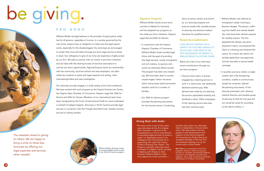

*"Pro bono work is one of the many ways attorneys at this firm display their character. I continue to be impressed by our firm's commitment to providing legal services to those in need. I'm especially proud of my colleagues who have joined me in supporting the Legal Aid Justice Center's Housing Law Project. The Project's volunteer attorneys serve hundreds of indigent clients annually in dealing with threats to their housing. Williams Mullen is also very supportive of bar activities —*

*another area where our attorneys take on leadership in the pro bono arena. Bar Associations are key players in the development and support of pro bono programs, the Housing Law Project being an excellent example of the bar and its members meeting one of our community's critical needs."*

**Ben Pace** is an associate in the firm's Litigation Section, where his practice focuses on complex commercial litigation, long-term care litigation and fiduciary litigation. He is chair of the Richmond Bar Association's Pro Bono Committee.

# *Giving Back with Ardor*

## **Signature Programs**

Williams Mullen serves as pro bono counsel to Habitat for Humanity and has adopted two programs as firm-wide pro bono initiatives: *Hispanic Legal Aid* and *Wills for Seniors*.

- Williams Mullen was referred an immigration matter involving a Bosnian refugee. The person, suffering from health and mental disabilities, had twice been denied requests for medical waivers. The firm appealed the denials, secured a physician's report, accompanied the client to a hearing and obtained the waiver. As a result, the client's citizenship application was approved, and she was able to secure health coverage.
- In another pro bono matter, a single mother with a life-threatening condition, unable to communicate except by computer, desired life-planning documents. A firm attorney executed a will, advance medical directive and durable power of attorney so that her five-year-old son would be cared for according to the client's wishes.  $\bullet$



- In conjunction with the Virginia Hispanic Chamber of Commerce, Williams Mullen holds monthly legal clinics with the goal of providing free legal services, mostly immigration and civil matters, to persons who could not otherwise afford counsel. The program has been very rewarding. We have been able to recover unpaid wages, harbor insurance claims and process lawful permanent resident cards for a number of families.
- Our *Wills for Seniors* program provides life-planning documents for low-income seniors. Conducting

clinics at senior centers and churches, our attorneys prepare and execute simple wills, durable powers of attorney and advance medical directives for qualified seniors.

# **Recent Accomplishments**

# **CASE RESULTS DEPEND ON A VARIETY OF FACTORS UNIQUE TO EACH CASE. CASE RESULTS DO NOT GUARANTEE OR PREDICT A SIMILAR RESULT IN FUTURE CASES.**

Below are a few of our attorneys' recent contributions through our pro bono program:

• One pro bono client, a woman engaged by a cleaning service to work in a retail store, was repeatedly declined overtime pay. After demand was made by our attorney, the service capitulated instantly and tendered a check. Other employees of the cleaning service have also

had their overtime paid.

# **P R O B O N O**

Williams Mullen strongly believes in the principle of equal justice under law for all persons, regardless of income. In a society governed by the rule of law, lawyers have an obligation to make sure the legal system works, especially for the disadvantaged. Our attorneys are encouraged to render their time and talent through pro bono legal service to those in need. Our willingness to give of our time and expertise is highly prized by our firm. We seek to partner with our clients in pro bono initiatives and we liaise with the clearing houses of local bar associations to uncover pro bono opportunities. Approaching pro bono as a partnership with the community, local law schools and area employers, we often utilize law students to assist with legal research and writing, client interviewing/intake and case investigation.

Our attorneys proudly engage in a wide variety of pro bono endeavors. We have worked with such programs as the Virginia Poverty Law Center, the Virginia Asian Chamber of Commerce, Hispanic Legal Aid, Wills for Seniors and Wills for Heroes. Members of our international team have been recognized by the Court of International Trade for work undertaken on behalf of indigent litigants. Attorneys in North Carolina provide legal services in connection with the Triangle Area Red Cross' disaster services and aid to military families.

The sweetest reward is giving to others. We are happy to bring a smile to those less fortunate by offering our legal expertise and services when needed.

# be giving.



Williams Mullen attorneys travel to counsel eligible clients as part of our Wills for Seniors program.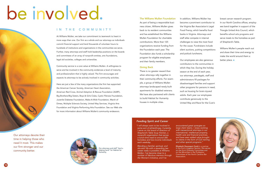

*"I will always want to be involved in some sort of philanthropy. Currently, I serve on the board of directors of Shepherd's Table Soup Kitchen, a nonprofit organization that serves a lunch-time meal to around 300 homeless and low-income individuals each weekday.* 

*Blending a familial, spiritual, and altruistic life with a rewarding law career really is possible at Williams Mullen. I've become close to a number of fabulous mentors through the Women's Initiative, and I've*

*encountered great synergies on large client teams. I enjoy working with transactional attorneys in our international, intellectual property, health care and financial practices, and have seen added value brought to clients in the form of CLE training and other special programs."*

**Elizabeth Davenport Scott** is a partner in the firm's Litigation Section. She serves on the firm's Diversity Committee and on the Minorities in the Profession Committee of the North Carolina Bar Association.

# *Feeding Spirit and Career*

**The Williams Mullen Foundation** As part of being a responsible business citizen, Williams Mullen gives back to its resident communities and has established the Williams Mullen Foundation for charitable contributions. More than 125 organizations receive funding from the Foundation each year. The Foundation also funds a scholarship program for eligible employees and their family members.

Williams Mullen's people reach out and share their time and energy to make the world around them a better place.  $\bullet$ 



# **Giving Back**

There is no greater reward than when attorneys rally together in their community efforts. For example, a group of Williams Mullen attorneys landscaped newly built apartments for disabled veterans. We have also partnered with clients to build Habitat for Humanity houses in multiple cities.

In addition, Williams Mullen has become a prominent contributor to the Virginia Bar Association's Legal Food Frenzy, which benefits food banks in Virginia. Attorneys and staff alike compete in internal challenges to raise the most food for the cause. Fundraisers include silent auctions, putting competitions and potluck luncheons.

Our employees are also generous contributors to the communities in which they live. During the holiday season at the end of each year, our attorneys, paralegals, staff and administrators fill packages for disadvantaged families and support other programs for persons in need, such as housing for brain-injured adults. Each year our employees contribute generously to the United Way and Race for the Cure's

breast cancer research program. In our North Carolina offices, employees band together in support of the Triangle United Arts Council, which benefits school arts programs and serve meals to the homeless as part of Shepherd's Table.



At Williams Mullen, we take our commitment to teamwork to heart in more ways than one. Our firm as a whole and our attorneys as individuals commit financial support and lend thousands of volunteer hours to hundreds of institutions and organizations in the communities we serve. Further, many attorneys and staff hold leadership positions on the boards and committees of an array of nonprofit entities, arts foundations, legal aid societies, colleges and universities.

Community service is a core value at Williams Mullen. A willingness to serve and be involved in the community evidences a level of maturity and professionalism that is highly valued. The firm encourages and expects its attorneys to be actively involved in community activities.

Here are just a few of the many organizations the firm has supported: the American Cancer Society, American Heart Association, American Red Cross, Animal Adoption & Rescue Foundation (AARF), Big Brothers/Big Sisters, Boys & Girls Clubs, Cystic Fibrosis Foundation, Juvenile Diabetes Foundation, Make-A-Wish Foundation, March of Dimes, Multiple Sclerosis Society, United Way Services, Virginia Arts Foundation and Virginia Performing Arts Foundation. See our Web site for more information about Williams Mullen's community endeavors.

Our attorneys devote their time in helping those who need it most. This makes our firm stronger and our community better.

# be involved.

Our attorneys and staff "lend a helping hand" for Habitat for Humanity.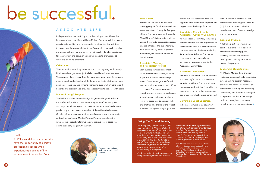

*"From day one, I've felt like a valued team member at Williams Mullen. I was given a variety of responsibilities early on. During my first couple of months, I was assigned independent cases and, within one year, had taken a deposition. I've also had quite a bit of client interaction. It has been beneficial to get the whole picture and sense of a case rather than working on just one piece.*

*I've been fortunate to be exposed to many different people and practice*

*areas around the firm. Approximately half of my work comes from attorneys in other offices. We communicate face-to-face and also by phone, e-mail, Web team rooms and videoconference. The firm truly operates without geographic boundaries."*

**Tom McKee** is an associate in the firm's Litigation Section and practices before federal and state courts throughout Virginia, Maryland and the District of Columbia. He serves on the Associates' Advisory Committee and on the Recruiting Committee.

# *Hitting the Ground Running*

# **Road Shows**

Williams Mullen offers an extended training program for all junior-level and lateral associates. During the first year with the firm, associates participate in "Road Shows," visiting various offices. During these visits, participating associates are introduced to the attorneys, work environment, different practice areas and types of clients served by those locations.

### **Associates' Meetings and Associates' Retreat**

Each quarter, our associates meet for an informational session, covering major firm initiatives and developments. These meetings are informal sessions, and associates from all offices participate. Our annual associates' retreat provides a forum for professional development training as well as a forum for associates to network with one another. The theme of the retreat is carried throughout the program and

affords our associates firm-wide the opportunity to spend time together and to gain career-building information.

# **Associates' Committee & Associates' Advisory Committee**

An Associates' Committee, comprising partners and the director of professional development, acts as a liaison between our associates and the firm's leadership. An Associates' Advisory Committee, composed of twelve associates, serves as an advocacy group to the Associates' Committee.

# **Associates' Evaluations**

We believe that feedback is an essential and meaningful part of our associates' experience with the firm. In addition to the regular feedback that is provided to associates on an on-going basis, annual performance evaluations are conducted.

# **Continuing Legal Education**

In-house continuing legal education programs are conducted on a monthly

# **A S S O C I A T E L I F E**

Early professional responsibility and enhanced quality of life are the hallmarks of associate life at Williams Mullen. Our approach is to move associates into a high level of responsibility within the shortest time to foster them into successful partners. Recognizing that each associate progresses at his or her own pace, we individually identify expectations for achievement and establish criteria for associate promotions at various levels of development.

# **Orientation**

The firm holds a week-long orientation and training program for newly hired law school graduates, judicial clerks and lateral associate hires. The program offers our participating associates an opportunity to gain a more in-depth understanding of the firm's organizational structure, management, technology and systems, marketing support, firm policies and benefits. The program also provides opportunities to socialize with peers.

# **Mentor-Protégé Program**

The Williams Mullen Mentor-Protégé Program is designed to foster the intellectual, social and emotional integration of our newly hired attorneys. Our ultimate goal is to facilitate our associates' acclimation, productivity and success as a member of the Williams Mullen team. Coupled with the assignment of a supervising attorney, a team leader and section leader, our Mentor-Protégé Program completes the wrap-around support system we seek to provide to our associates during their early stages with the firm.

# be successful.

# Limitless ...

At Williams Mullen, our associates have the opportunity to achieve professional success while experiencing a quality of life not common in other law firms.

Our attorneys celebrate and share in each other's success.

basis. In addition, Williams Mullen partners with Practising Law Institute (PLI), bar associations and other outside vendors to foster knowledge among our attorneys.

# **Coaching Program**

A full-time practice development coach is available to our attorneys. Personalized marketing plans, coaching sessions and business development training are standard parts of the program.

# **Leadership Opportunities**

At Williams Mullen, there are many leadership opportunities for associates beyond making partner. Associates are invited to serve on a number of committees, including the Recruiting Committee, and they are encouraged to represent the firm in leadership positions throughout community organizations and bar associations.

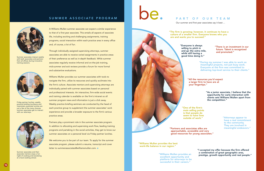| be. | PART OF OUR TEAM<br>Our summer and first-year associates say it best                                                                         |                                                                                                                                                                                 |  |  |  |  |
|-----|----------------------------------------------------------------------------------------------------------------------------------------------|---------------------------------------------------------------------------------------------------------------------------------------------------------------------------------|--|--|--|--|
|     | "The firm is growing; however, it continues to have a<br>culture of a smaller firm. Everyone knows who you<br>are and wants you to succeed." |                                                                                                                                                                                 |  |  |  |  |
|     | "Everyone is always<br>willing to pitch in<br>and go the extra mile,<br>while still having a<br>good time doing it."                         | "There is an investment in our<br>future. Talent is recognized<br>and promoted."                                                                                                |  |  |  |  |
|     |                                                                                                                                              | "During my summer I was able to work on<br>meaningful projects, not just busy work.<br>Everyone at the firm was committed to<br>delivering top-level service to their clients." |  |  |  |  |
|     | "All the resources you'd expect<br>a larger firm to have are at<br>your fingertips."                                                         |                                                                                                                                                                                 |  |  |  |  |
|     |                                                                                                                                              | "As a junior associate, I believe that the<br>opportunity for early interaction with<br>clients sets Williams Mullen apart from<br>the competition."                            |  |  |  |  |
|     | "One of the firm's<br>main selling points<br>is that people do<br>seem to have lives<br>outside of work."                                    | "Attorneys appear to<br>have a real commitment<br>to the community.<br>They are involved in                                                                                     |  |  |  |  |
|     | "Partners and associates alike are<br>approachable, accessible and very<br>good resources for young associates."                             | meaningful endeavors."                                                                                                                                                          |  |  |  |  |

**"Williams Mullen provides the best work-life balance in our region."**

> **"I accepted my offer because the firm offered a combination of great geographic area, prestige, growth opportunity and real people."**

**"Williams Mullen provides an excellent opportunity and platform for attorneys to be successful in their careers."**

A Williams Mullen summer associate can expect a similar experience to that of a first-year associate. This entails all aspects of associate life, including exciting and challenging assignments, training programs, social interaction within each practice area in every office and, of course, a lot of fun.

We welcome you to be part of our team. To apply for the summer associate program, please submit a resume, transcript and cover letter to summerassociates@williamsmullen.com.

Through individually assigned supervising attorneys, summer associates are able to receive varied assignments in practice areas of their preference as well as in-depth feedback. While summer associates regularly receive informal and on-the-job training, mid-summer and exit reviews provide a forum for more formal and substantive evaluations.

Williams Mullen provides our summer associates with tools to navigate the firm, utilize its resources and quickly acclimate into the firm's culture. Associate mentors and supervising attorneys are individually paired with summer associates based on personal and professional interests. An interactive, firm-wide social events and training calendar is available on the firm's intranet so all summer program news and information is just a click away. Weekly practice briefing seminars are conducted by the head of each practice group to supplement the summer associates' work experience and provide a broader exposure to the firm's various practice areas.

Partners play a prominent role in the summer associate program. In addition to allocating and supervising work flow, leading training programs and partaking in the social activities, they get to know our summer associates on a personal level via Friday partner lunches.

# S U M M E R A S S O C I A T E P R O G R A M



Summer associates interact weekly with both associates and partners from all offices during innovative training sessions.



Friday partner lunches, weekly practice briefing luncheons and impromptu associate lunches are just a few of the many chances summer associates get to interact with our attorneys.



Summer associates and their associate mentors enjoy a fun night of cooking and socializing at a local cooking school.

# .